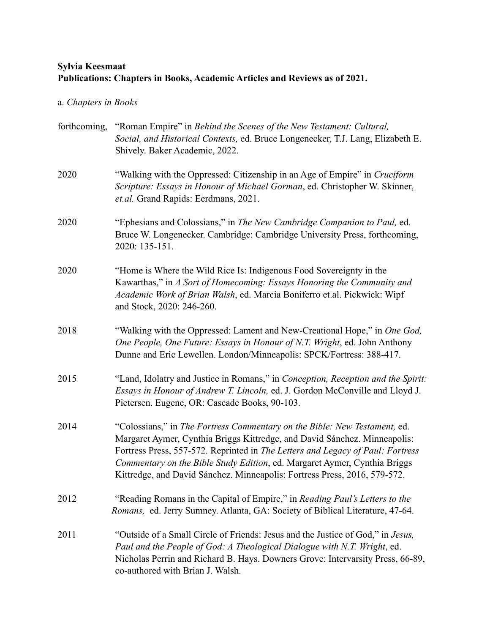## **Sylvia Keesmaat Publications: Chapters in Books, Academic Articles and Reviews as of 2021.**

## a. *Chapters in Books*

| forthcoming, | "Roman Empire" in Behind the Scenes of the New Testament: Cultural,<br>Social, and Historical Contexts, ed. Bruce Longenecker, T.J. Lang, Elizabeth E.<br>Shively. Baker Academic, 2022.                                                                                                                                                                                                           |
|--------------|----------------------------------------------------------------------------------------------------------------------------------------------------------------------------------------------------------------------------------------------------------------------------------------------------------------------------------------------------------------------------------------------------|
| 2020         | "Walking with the Oppressed: Citizenship in an Age of Empire" in Cruciform<br>Scripture: Essays in Honour of Michael Gorman, ed. Christopher W. Skinner,<br>et.al. Grand Rapids: Eerdmans, 2021.                                                                                                                                                                                                   |
| 2020         | "Ephesians and Colossians," in The New Cambridge Companion to Paul, ed.<br>Bruce W. Longenecker. Cambridge: Cambridge University Press, forthcoming,<br>2020: 135-151.                                                                                                                                                                                                                             |
| 2020         | "Home is Where the Wild Rice Is: Indigenous Food Sovereignty in the<br>Kawarthas," in A Sort of Homecoming: Essays Honoring the Community and<br>Academic Work of Brian Walsh, ed. Marcia Boniferro et.al. Pickwick: Wipf<br>and Stock, 2020: 246-260.                                                                                                                                             |
| 2018         | "Walking with the Oppressed: Lament and New-Creational Hope," in One God,<br>One People, One Future: Essays in Honour of N.T. Wright, ed. John Anthony<br>Dunne and Eric Lewellen. London/Minneapolis: SPCK/Fortress: 388-417.                                                                                                                                                                     |
| 2015         | "Land, Idolatry and Justice in Romans," in Conception, Reception and the Spirit:<br>Essays in Honour of Andrew T. Lincoln, ed. J. Gordon McConville and Lloyd J.<br>Pietersen. Eugene, OR: Cascade Books, 90-103.                                                                                                                                                                                  |
| 2014         | "Colossians," in The Fortress Commentary on the Bible: New Testament, ed.<br>Margaret Aymer, Cynthia Briggs Kittredge, and David Sánchez. Minneapolis:<br>Fortress Press, 557-572. Reprinted in The Letters and Legacy of Paul: Fortress<br>Commentary on the Bible Study Edition, ed. Margaret Aymer, Cynthia Briggs<br>Kittredge, and David Sánchez. Minneapolis: Fortress Press, 2016, 579-572. |
| 2012         | "Reading Romans in the Capital of Empire," in Reading Paul's Letters to the<br>Romans, ed. Jerry Sumney. Atlanta, GA: Society of Biblical Literature, 47-64.                                                                                                                                                                                                                                       |
| 2011         | "Outside of a Small Circle of Friends: Jesus and the Justice of God," in Jesus,<br>Paul and the People of God: A Theological Dialogue with N.T. Wright, ed.<br>Nicholas Perrin and Richard B. Hays. Downers Grove: Intervarsity Press, 66-89,<br>co-authored with Brian J. Walsh.                                                                                                                  |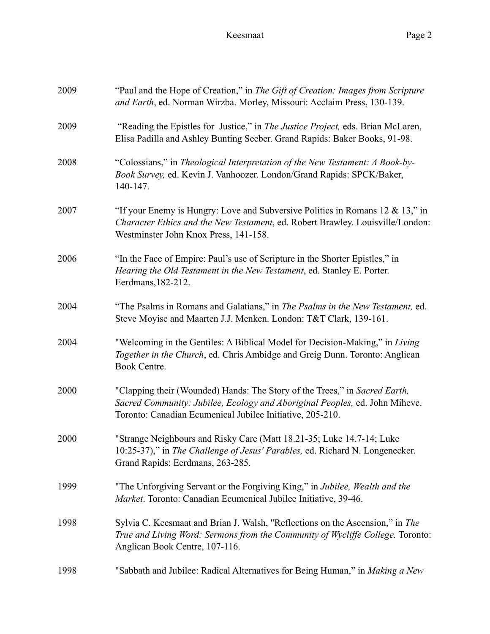Keesmaat Page 2

| 2009 | "Paul and the Hope of Creation," in The Gift of Creation: Images from Scripture<br>and Earth, ed. Norman Wirzba. Morley, Missouri: Acclaim Press, 130-139.                                                             |
|------|------------------------------------------------------------------------------------------------------------------------------------------------------------------------------------------------------------------------|
| 2009 | "Reading the Epistles for Justice," in The Justice Project, eds. Brian McLaren,<br>Elisa Padilla and Ashley Bunting Seeber. Grand Rapids: Baker Books, 91-98.                                                          |
| 2008 | "Colossians," in Theological Interpretation of the New Testament: A Book-by-<br>Book Survey, ed. Kevin J. Vanhoozer. London/Grand Rapids: SPCK/Baker,<br>140-147.                                                      |
| 2007 | "If your Enemy is Hungry: Love and Subversive Politics in Romans 12 $\&$ 13," in<br>Character Ethics and the New Testament, ed. Robert Brawley. Louisville/London:<br>Westminster John Knox Press, 141-158.            |
| 2006 | "In the Face of Empire: Paul's use of Scripture in the Shorter Epistles," in<br>Hearing the Old Testament in the New Testament, ed. Stanley E. Porter.<br>Eerdmans, 182-212.                                           |
| 2004 | "The Psalms in Romans and Galatians," in The Psalms in the New Testament, ed.<br>Steve Moyise and Maarten J.J. Menken. London: T&T Clark, 139-161.                                                                     |
| 2004 | "Welcoming in the Gentiles: A Biblical Model for Decision-Making," in Living<br>Together in the Church, ed. Chris Ambidge and Greig Dunn. Toronto: Anglican<br>Book Centre.                                            |
| 2000 | "Clapping their (Wounded) Hands: The Story of the Trees," in Sacred Earth,<br>Sacred Community: Jubilee, Ecology and Aboriginal Peoples, ed. John Mihevc.<br>Toronto: Canadian Ecumenical Jubilee Initiative, 205-210. |
| 2000 | "Strange Neighbours and Risky Care (Matt 18.21-35; Luke 14.7-14; Luke<br>10:25-37)," in The Challenge of Jesus' Parables, ed. Richard N. Longenecker.<br>Grand Rapids: Eerdmans, 263-285.                              |
| 1999 | "The Unforgiving Servant or the Forgiving King," in Jubilee, Wealth and the<br>Market. Toronto: Canadian Ecumenical Jubilee Initiative, 39-46.                                                                         |
| 1998 | Sylvia C. Keesmaat and Brian J. Walsh, "Reflections on the Ascension," in The<br>True and Living Word: Sermons from the Community of Wycliffe College. Toronto:<br>Anglican Book Centre, 107-116.                      |
| 1998 | "Sabbath and Jubilee: Radical Alternatives for Being Human," in Making a New                                                                                                                                           |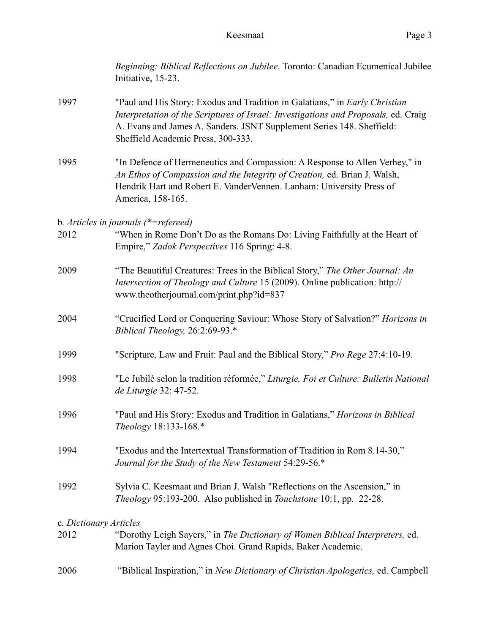|                        | Beginning: Biblical Reflections on Jubilee. Toronto: Canadian Ecumenical Jubilee<br>Initiative, 15-23.                                                                                                                                                                            |
|------------------------|-----------------------------------------------------------------------------------------------------------------------------------------------------------------------------------------------------------------------------------------------------------------------------------|
| 1997                   | "Paul and His Story: Exodus and Tradition in Galatians," in Early Christian<br>Interpretation of the Scriptures of Israel: Investigations and Proposals, ed. Craig<br>A. Evans and James A. Sanders. JSNT Supplement Series 148. Sheffield:<br>Sheffield Academic Press, 300-333. |
| 1995                   | "In Defence of Hermeneutics and Compassion: A Response to Allen Verhey," in<br>An Ethos of Compassion and the Integrity of Creation, ed. Brian J. Walsh,<br>Hendrik Hart and Robert E. VanderVennen. Lanham: University Press of<br>America, 158-165.                             |
|                        | b. Articles in journals $(*=refereed)$                                                                                                                                                                                                                                            |
| 2012                   | "When in Rome Don't Do as the Romans Do: Living Faithfully at the Heart of<br>Empire," Zadok Perspectives 116 Spring: 4-8.                                                                                                                                                        |
| 2009                   | "The Beautiful Creatures: Trees in the Biblical Story," The Other Journal: An<br>Intersection of Theology and Culture 15 (2009). Online publication: http://<br>www.theotherjournal.com/print.php?id=837                                                                          |
| 2004                   | "Crucified Lord or Conquering Saviour: Whose Story of Salvation?" Horizons in<br>Biblical Theology, 26:2:69-93.*                                                                                                                                                                  |
| 1999                   | "Scripture, Law and Fruit: Paul and the Biblical Story," Pro Rege 27:4:10-19.                                                                                                                                                                                                     |
| 1998                   | "Le Jubilé selon la tradition réformée," Liturgie, Foi et Culture: Bulletin National<br>de Liturgie 32: 47-52.                                                                                                                                                                    |
| 1996                   | "Paul and His Story: Exodus and Tradition in Galatians," Horizons in Biblical<br>Theology 18:133-168.*                                                                                                                                                                            |
| 1994                   | "Exodus and the Intertextual Transformation of Tradition in Rom 8.14-30,"<br>Journal for the Study of the New Testament 54:29-56.*                                                                                                                                                |
| 1992                   | Sylvia C. Keesmaat and Brian J. Walsh "Reflections on the Ascension," in<br>Theology 95:193-200. Also published in Touchstone 10:1, pp. 22-28.                                                                                                                                    |
| c. Dictionary Articles |                                                                                                                                                                                                                                                                                   |
| 2012                   | "Dorothy Leigh Sayers," in The Dictionary of Women Biblical Interpreters, ed.<br>Marion Tayler and Agnes Choi. Grand Rapids, Baker Academic.                                                                                                                                      |
| 2006                   | "Biblical Inspiration," in New Dictionary of Christian Apologetics, ed. Campbell                                                                                                                                                                                                  |